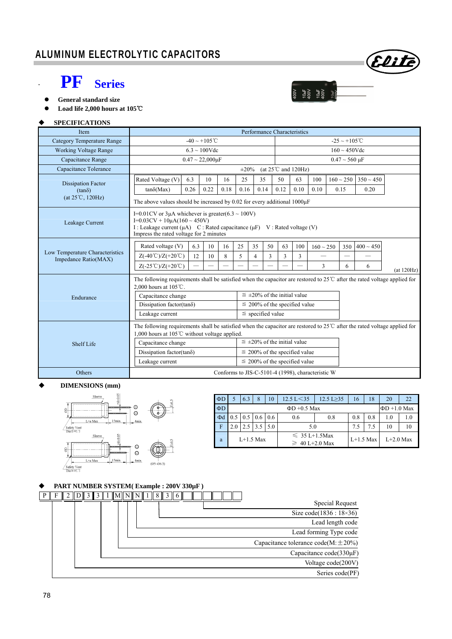# **PF** Series



 **Load life 2,000 hours at 105**℃

#### **SPECIFICATIONS**

| Item                            | Performance Characteristics                                                                                                                                                                                                       |                                    |      |                                      |                                      |                          |                    |                                                   |                                     |                |             |
|---------------------------------|-----------------------------------------------------------------------------------------------------------------------------------------------------------------------------------------------------------------------------------|------------------------------------|------|--------------------------------------|--------------------------------------|--------------------------|--------------------|---------------------------------------------------|-------------------------------------|----------------|-------------|
| Category Temperature Range      | $-40 \sim +105$ °C                                                                                                                                                                                                                |                                    |      |                                      |                                      | $-25 \sim +105^{\circ}C$ |                    |                                                   |                                     |                |             |
| <b>Working Voltage Range</b>    | $6.3 \sim 100$ Vdc                                                                                                                                                                                                                |                                    |      |                                      |                                      |                          | $160 \sim 450$ Vdc |                                                   |                                     |                |             |
| Capacitance Range               | $0.47 \sim 22,000 \mu F$                                                                                                                                                                                                          |                                    |      |                                      |                                      |                          |                    |                                                   | $0.47 \sim 560 \text{ }\mu\text{F}$ |                |             |
| Capacitance Tolerance           | (at $25^{\circ}$ C and $120$ Hz)<br>$\pm 20\%$                                                                                                                                                                                    |                                    |      |                                      |                                      |                          |                    |                                                   |                                     |                |             |
| <b>Dissipation Factor</b>       | Rated Voltage (V)<br>6.3                                                                                                                                                                                                          | 10                                 | 16   | 25                                   | 35                                   | 50                       | 63                 | 100                                               | $160 \sim 250$                      | $350 \sim 450$ |             |
| $(tan\delta)$                   | 0.26<br>$tan\delta(Max)$                                                                                                                                                                                                          | 0.22                               | 0.18 | 0.16                                 | 0.14                                 | 0.12                     | 0.10               | 0.10                                              | 0.15                                | 0.20           |             |
| $(at 25^{\circ}C, 120Hz)$       | The above values should be increased by 0.02 for every additional $1000\mu$ F                                                                                                                                                     |                                    |      |                                      |                                      |                          |                    |                                                   |                                     |                |             |
| Leakage Current                 | I=0.01CV or 3 $\mu$ A whichever is greater(6.3 ~ 100V)<br>$I=0.03CV + 10\mu A(160 \sim 450V)$<br>I : Leakage current ( $\mu$ A) C : Rated capacitance ( $\mu$ F) V : Rated voltage (V)<br>Impress the rated voltage for 2 minutes |                                    |      |                                      |                                      |                          |                    |                                                   |                                     |                |             |
| Low Temperature Characteristics | Rated voltage (V)                                                                                                                                                                                                                 | 6.3<br>10                          | 16   | 25                                   | 35<br>50                             | 63                       | 100                | $160 \sim 250$                                    | 350                                 | $400 \sim 450$ |             |
| Impedance Ratio(MAX)            | $Z(-40^{\circ}\text{C})/Z(+20^{\circ}\text{C})$                                                                                                                                                                                   | 12<br>10                           | 8    | 5                                    | 3<br>4                               | 3                        | 3                  | $\overline{\phantom{0}}$                          | $\overline{\phantom{m}}$            |                |             |
|                                 | $Z(-25^{\circ}\text{C})/Z(+20^{\circ}\text{C})$                                                                                                                                                                                   | $\overline{\phantom{0}}$           |      |                                      |                                      |                          |                    | 3                                                 | 6                                   | 6              | (at 120 Hz) |
|                                 | The following requirements shall be satisfied when the capacitor are restored to $25^{\circ}$ after the rated voltage applied for<br>2,000 hours at 105℃.                                                                         |                                    |      |                                      |                                      |                          |                    |                                                   |                                     |                |             |
| Endurance                       | Capacitance change                                                                                                                                                                                                                |                                    |      |                                      | $\leq \pm 20\%$ of the initial value |                          |                    |                                                   |                                     |                |             |
|                                 | Dissipation factor(tan $\delta$ )                                                                                                                                                                                                 |                                    |      |                                      | $\leq$ 200% of the specified value   |                          |                    |                                                   |                                     |                |             |
|                                 | $\le$ specified value<br>Leakage current                                                                                                                                                                                          |                                    |      |                                      |                                      |                          |                    |                                                   |                                     |                |             |
|                                 | The following requirements shall be satisfied when the capacitor are restored to $25^{\circ}$ after the rated voltage applied for<br>1,000 hours at 105 $\degree$ C without voltage applied.                                      |                                    |      |                                      |                                      |                          |                    |                                                   |                                     |                |             |
| Shelf Life                      | Capacitance change                                                                                                                                                                                                                |                                    |      | $\leq \pm 20\%$ of the initial value |                                      |                          |                    |                                                   |                                     |                |             |
|                                 | Dissipation factor(tan $\delta$ )                                                                                                                                                                                                 |                                    |      |                                      | $\leq$ 200% of the specified value   |                          |                    |                                                   |                                     |                |             |
|                                 | Leakage current                                                                                                                                                                                                                   | $\leq$ 200% of the specified value |      |                                      |                                      |                          |                    |                                                   |                                     |                |             |
| Others                          |                                                                                                                                                                                                                                   |                                    |      |                                      |                                      |                          |                    | Conforms to JIS-C-5101-4 (1998), characteristic W |                                     |                |             |

#### **DIMENSIONS (mm)**



| $\Phi$ D    |                   | 6.3                              | 8   | 10  | $12.5 \text{ L} < 35$                     | $12.5 L \geq 35$ | 16          | 18  | 20                |     |
|-------------|-------------------|----------------------------------|-----|-----|-------------------------------------------|------------------|-------------|-----|-------------------|-----|
| $\Phi$ D    | $\Phi$ D +0.5 Max |                                  |     |     |                                           |                  |             |     | $\Phi$ D +1.0 Max |     |
| $\Phi$ d    |                   | $0.5 \mid 0.5 \mid 0.6 \mid 0.6$ |     |     | 0.8<br>0.6                                |                  | 0.8         | 0.8 | 1.0               | 1.0 |
| $\mathbf F$ |                   |                                  | 3.5 | 5.0 | 5.0                                       | 7.5              | 7.5         | 10  | 10                |     |
| a           | $L+1.5$ Max       |                                  |     |     | $\leq 35$ L+1.5Max<br>$\geq 40$ L+2.0 Max |                  | $L+1.5$ Max |     | $L+2.0$ Max       |     |

 $\begin{array}{l} 10 \mathrm{mF} \\ 400 \mathrm{V} \\ 10 \mathrm{mF} \\ 100 \mathrm{V} \\ 400 \mathrm{V} \end{array}$ 

**NOO1** 

Elih

#### **PART NUMBER SYSTEM( Example : 200V 330µF )**

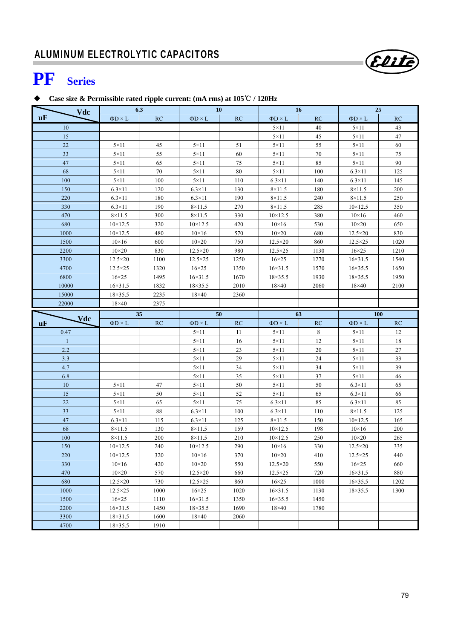# **PF Series**

### **Case size & Permissible rated ripple current: (mA rms) at 105**℃ **/ 120Hz**

| Vdc              |                   | 6.3  | <b>10</b>         |      | <b>16</b>         |      | 25                |        |
|------------------|-------------------|------|-------------------|------|-------------------|------|-------------------|--------|
| <b>uF</b>        | $\Phi D \times L$ | RC   | $\Phi D \times L$ | RC   | $\Phi D \times L$ | RC   | $\Phi D \times L$ | RC     |
| 10               |                   |      |                   |      | $5 \times 11$     | 40   | $5 \times 11$     | 43     |
| 15               |                   |      |                   |      | $5 \times 11$     | 45   | $5 \times 11$     | $47\,$ |
| 22               | $5 \times 11$     | 45   | $5 \times 11$     | 51   | $5 \times 11$     | 55   | $5 \times 11$     | 60     |
| 33               | $5 \times 11$     | 55   | $5 \times 11$     | 60   | $5 \times 11$     | 70   | $5 \times 11$     | 75     |
| 47               | $5 \times 11$     | 65   | $5 \times 11$     | 75   | $5 \times 11$     | 85   | $5 \times 11$     | 90     |
| 68               | $5 \times 11$     | 70   | $5 \times 11$     | 80   | $5 \times 11$     | 100  | $6.3\times11$     | 125    |
| 100              | $5 \times 11$     | 100  | $5 \times 11$     | 110  | $6.3\times11$     | 140  | $6.3\times11$     | 145    |
| 150              | $6.3\times11$     | 120  | $6.3\times11$     | 130  | $8 \times 11.5$   | 180  | $8\times11.5$     | 200    |
| 220              | $6.3\times11$     | 180  | $6.3\times11$     | 190  | $8\times11.5$     | 240  | $8 \times 11.5$   | 250    |
| 330              | $6.3\times11$     | 190  | $8 \times 11.5$   | 270  | $8 \times 11.5$   | 285  | $10 \times 12.5$  | 350    |
| 470              | $8\times11.5$     | 300  | $8 \times 11.5$   | 330  | $10 \times 12.5$  | 380  | $10\times16$      | 460    |
| 680              | $10 \times 12.5$  | 320  | $10 \times 12.5$  | 420  | $10\times16$      | 530  | $10\times 20$     | 650    |
| 1000             | $10 \times 12.5$  | 480  | $10\times16$      | 570  | $10\times 20$     | 680  | $12.5 \times 20$  | 830    |
| 1500             | $10\times16$      | 600  | $10\times 20$     | 750  | $12.5 \times 20$  | 860  | $12.5 \times 25$  | 1020   |
| 2200             | $10\times 20$     | 830  | $12.5 \times 20$  | 980  | $12.5 \times 25$  | 1130 | $16\times25$      | 1210   |
| 3300             | $12.5 \times 20$  | 1100 | $12.5 \times 25$  | 1250 | $16\times25$      | 1270 | $16 \times 31.5$  | 1540   |
| 4700             | $12.5 \times 25$  | 1320 | $16\times25$      | 1350 | $16 \times 31.5$  | 1570 | $16 \times 35.5$  | 1650   |
| 6800             | $16\times25$      | 1495 | $16 \times 31.5$  | 1670 | $18 \times 35.5$  | 1930 | $18 \times 35.5$  | 1950   |
| 10000            | $16 \times 31.5$  | 1832 | $18 \times 35.5$  | 2010 | $18\times40$      | 2060 | $18\times40$      | 2100   |
| 15000            | $18 \times 35.5$  | 2235 | $18\times40$      | 2360 |                   |      |                   |        |
| 22000            | $18\times 40$     | 2375 |                   |      |                   |      |                   |        |
|                  |                   | 35   | 50                |      | 63                |      | <b>100</b>        |        |
| <b>Vdc</b><br>uF | $\Phi D \times L$ | RC   | $\Phi D \times L$ | RC   | $\Phi D \times L$ | RC   | $\Phi D \times L$ | RC     |
| 0.47             |                   |      | $5 \times 11$     | 11   | $5 \times 11$     | 8    | $5 \times 11$     | 12     |
| $\mathbf{1}$     |                   |      | $5 \times 11$     | 16   | $5 \times 11$     | 12   | $5 \times 11$     | 18     |
| 2.2              |                   |      | $5 \times 11$     | 23   | $5 \times 11$     | 20   | $5 \times 11$     | $27\,$ |
| 3.3              |                   |      | $5 \times 11$     | 29   | $5 \times 11$     | 24   | $5 \times 11$     | 33     |
| 4.7              |                   |      | $5 \times 11$     | 34   | $5 \times 11$     | 34   | $5 \times 11$     | 39     |
| 6.8              |                   |      | $5 \times 11$     | 35   | $5 \times 11$     | 37   | $5 \times 11$     | 46     |
| 10               | $5 \times 11$     | 47   | $5 \times 11$     | 50   | $5 \times 11$     | 50   | $6.3\times11$     | 65     |
| 15               | $5 \times 11$     |      |                   |      |                   |      |                   |        |
| $22\,$           |                   | 50   | $5 \times 11$     | 52   | $5 \times 11$     | 65   | $6.3\times11$     | 66     |
|                  | $5 \times 11$     | 65   | $5 \times 11$     | 75   | $6.3\times11$     | 85   | $6.3\times11$     | 85     |
| 33               | $5 \times 11$     | 88   | $6.3\times11$     | 100  | $6.3\times11$     | 110  | $8 \times 11.5$   | 125    |
| 47               | $6.3\times11$     | 115  | $6.3\times11$     | 125  | $8 \times 11.5$   | 150  | $10 \times 12.5$  | 165    |
| 68               | $8\times11.5$     | 130  | $8 \times 11.5$   | 159  | $10 \times 12.5$  | 198  | $10\times16$      | 200    |
| 100              | $8\times11.5$     | 200  | $8\times11.5$     | 210  | $10 \times 12.5$  | 250  | $10\times 20$     | 265    |
| 150              | $10 \times 12.5$  | 240  | $10\times12.5$    | 290  | $10\times16$      | 330  | $12.5 \times 20$  | 335    |
| 220              | $10 \times 12.5$  | 320  | $10\times16$      | 370  | $10\times20$      | 410  | $12.5 \times 25$  | 440    |
| 330              | $10\times16$      | 420  | $10\times 20$     | 550  | $12.5 \times 20$  | 550  | $16\times25$      | 660    |
| 470              | $10\times 20$     | 570  | $12.5 \times 20$  | 660  | $12.5 \times 25$  | 720  | $16 \times 31.5$  | 880    |
| 680              | $12.5 \times 20$  | 730  | $12.5\times25$    | 860  | $16\times25$      | 1000 | $16 \times 35.5$  | 1202   |
| 1000             | $12.5 \times 25$  | 1000 | $16\times25$      | 1020 | $16 \times 31.5$  | 1130 | $18 \times 35.5$  | 1300   |
| 1500             | $16\times25$      | 1110 | $16 \times 31.5$  | 1350 | $16 \times 35.5$  | 1450 |                   |        |
| 2200             | $16 \times 31.5$  | 1450 | $18 \times 35.5$  | 1690 | $18\times40$      | 1780 |                   |        |
| 3300             | $18 \times 31.5$  | 1600 | $18\times 40$     | 2060 |                   |      |                   |        |

Elite